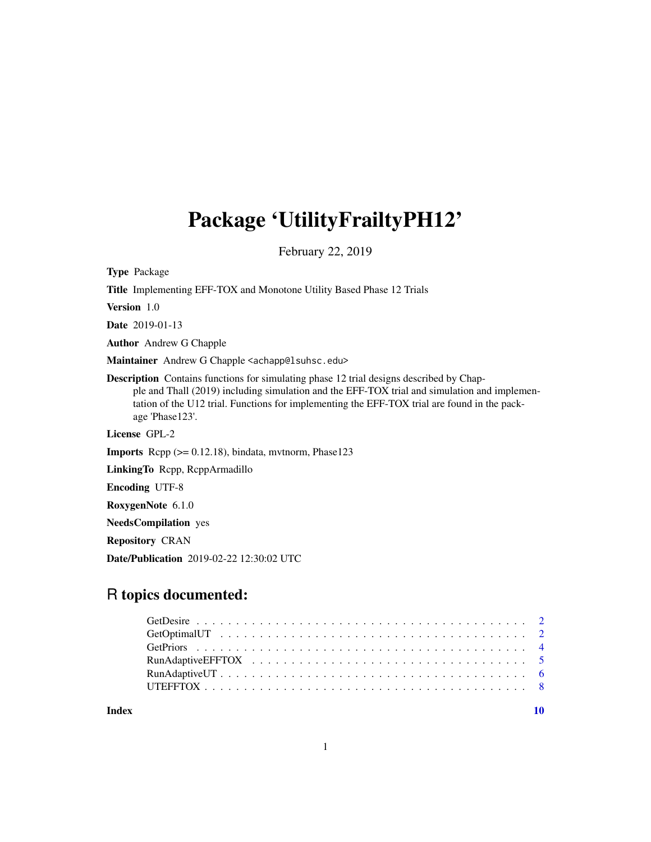# Package 'UtilityFrailtyPH12'

February 22, 2019

Type Package

Title Implementing EFF-TOX and Monotone Utility Based Phase 12 Trials

Version 1.0

Date 2019-01-13

Author Andrew G Chapple

Maintainer Andrew G Chapple <achapp@lsuhsc.edu>

Description Contains functions for simulating phase 12 trial designs described by Chapple and Thall (2019) including simulation and the EFF-TOX trial and simulation and implementation of the U12 trial. Functions for implementing the EFF-TOX trial are found in the package 'Phase123'.

License GPL-2

**Imports** Rcpp  $(>= 0.12.18)$ , bindata, mythorm, Phase123

LinkingTo Rcpp, RcppArmadillo

Encoding UTF-8

RoxygenNote 6.1.0

NeedsCompilation yes

Repository CRAN

Date/Publication 2019-02-22 12:30:02 UTC

# R topics documented:

 $\blacksquare$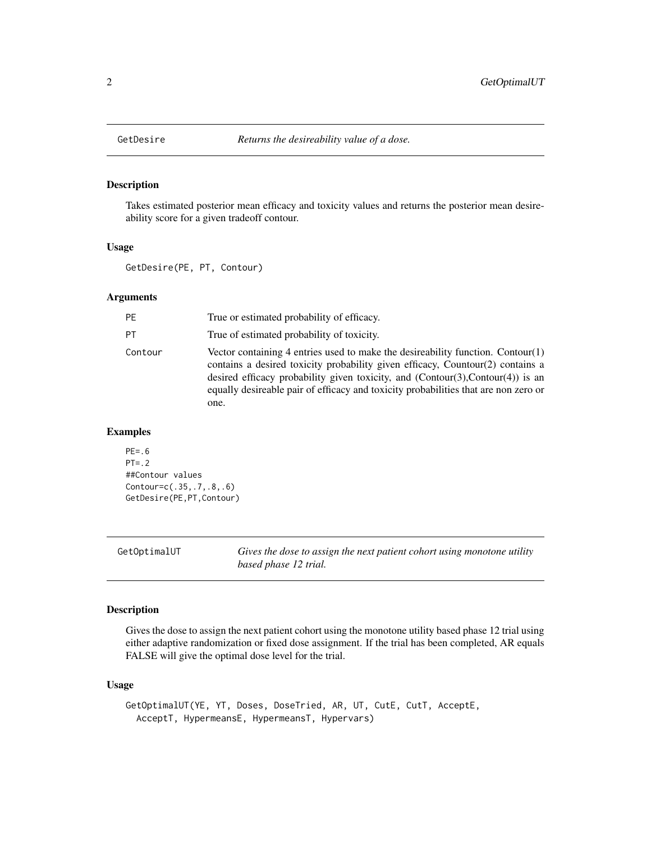<span id="page-1-0"></span>

#### Description

Takes estimated posterior mean efficacy and toxicity values and returns the posterior mean desireability score for a given tradeoff contour.

#### Usage

GetDesire(PE, PT, Contour)

## Arguments

| True or estimated probability of efficacy.                                                                                                                                                                                                                                                                                                           |
|------------------------------------------------------------------------------------------------------------------------------------------------------------------------------------------------------------------------------------------------------------------------------------------------------------------------------------------------------|
| True of estimated probability of toxicity.                                                                                                                                                                                                                                                                                                           |
| Vector containing 4 entries used to make the desireability function. Contour(1)<br>contains a desired toxicity probability given efficacy, Countour(2) contains a<br>desired efficacy probability given toxicity, and $(Contour(3),Contour(4))$ is an<br>equally desireable pair of efficacy and toxicity probabilities that are non zero or<br>one. |
|                                                                                                                                                                                                                                                                                                                                                      |

#### Examples

```
PE=.6
PT = .2##Contour values
Contour=c(.35,.7,.8,.6)
GetDesire(PE,PT,Contour)
```

| GetOptimalUT | Gives the dose to assign the next patient cohort using monotone utility |
|--------------|-------------------------------------------------------------------------|
|              | based phase 12 trial.                                                   |

#### Description

Gives the dose to assign the next patient cohort using the monotone utility based phase 12 trial using either adaptive randomization or fixed dose assignment. If the trial has been completed, AR equals FALSE will give the optimal dose level for the trial.

#### Usage

```
GetOptimalUT(YE, YT, Doses, DoseTried, AR, UT, CutE, CutT, AcceptE,
  AcceptT, HypermeansE, HypermeansT, Hypervars)
```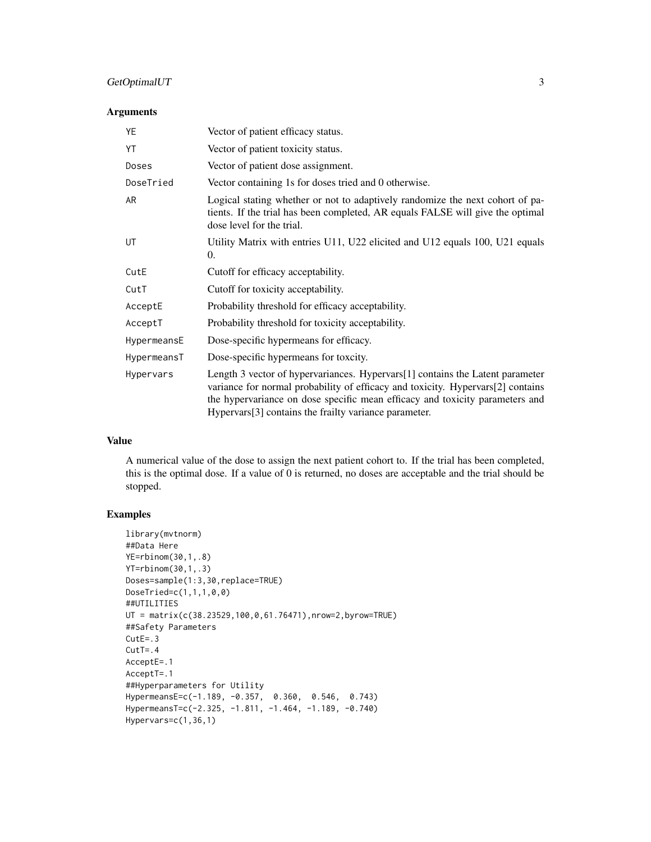#### GetOptimalUT 3

#### Arguments

| YE          | Vector of patient efficacy status.                                                                                                                                                                                                                                                                        |
|-------------|-----------------------------------------------------------------------------------------------------------------------------------------------------------------------------------------------------------------------------------------------------------------------------------------------------------|
| YT          | Vector of patient toxicity status.                                                                                                                                                                                                                                                                        |
| Doses       | Vector of patient dose assignment.                                                                                                                                                                                                                                                                        |
| DoseTried   | Vector containing 1s for doses tried and 0 otherwise.                                                                                                                                                                                                                                                     |
| AR          | Logical stating whether or not to adaptively randomize the next cohort of pa-<br>tients. If the trial has been completed, AR equals FALSE will give the optimal<br>dose level for the trial.                                                                                                              |
| UT          | Utility Matrix with entries U11, U22 elicited and U12 equals 100, U21 equals<br>0.                                                                                                                                                                                                                        |
| CutE        | Cutoff for efficacy acceptability.                                                                                                                                                                                                                                                                        |
| CutT        | Cutoff for toxicity acceptability.                                                                                                                                                                                                                                                                        |
| AcceptE     | Probability threshold for efficacy acceptability.                                                                                                                                                                                                                                                         |
| AcceptT     | Probability threshold for toxicity acceptability.                                                                                                                                                                                                                                                         |
| HypermeansE | Dose-specific hypermeans for efficacy.                                                                                                                                                                                                                                                                    |
| HypermeansT | Dose-specific hypermeans for toxcity.                                                                                                                                                                                                                                                                     |
| Hypervars   | Length 3 vector of hypervariances. Hypervars[1] contains the Latent parameter<br>variance for normal probability of efficacy and toxicity. Hypervars[2] contains<br>the hypervariance on dose specific mean efficacy and toxicity parameters and<br>Hypervars[3] contains the frailty variance parameter. |

#### Value

A numerical value of the dose to assign the next patient cohort to. If the trial has been completed, this is the optimal dose. If a value of 0 is returned, no doses are acceptable and the trial should be stopped.

```
library(mvtnorm)
##Data Here
YE=rbinom(30,1,.8)
YT=rbinom(30,1,.3)
Doses=sample(1:3,30,replace=TRUE)
DoseTried=c(1,1,1,0,0)
##UTILITIES
UT = matrix(c(38.23529,100,0,61.76471),nrow=2,byrow=TRUE)
##Safety Parameters
CutE=.3
CutT = .4AcceptE=.1
AcceptT=.1
##Hyperparameters for Utility
HypermeansE=c(-1.189, -0.357, 0.360, 0.546, 0.743)
HypermeansT=c(-2.325, -1.811, -1.464, -1.189, -0.740)
Hypervars=c(1,36,1)
```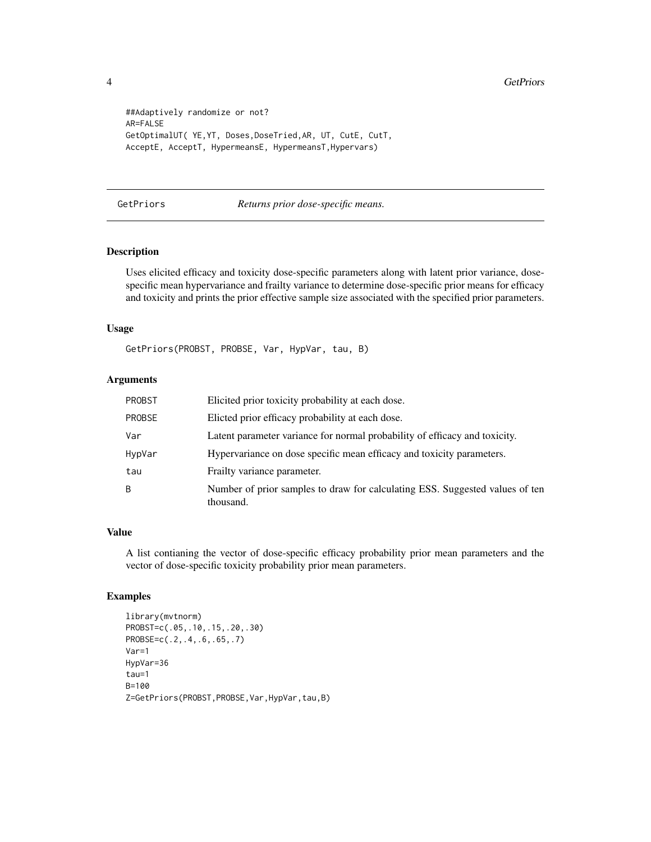```
##Adaptively randomize or not?
AR=FALSE
GetOptimalUT( YE,YT, Doses,DoseTried,AR, UT, CutE, CutT,
AcceptE, AcceptT, HypermeansE, HypermeansT,Hypervars)
```
#### GetPriors *Returns prior dose-specific means.*

#### Description

Uses elicited efficacy and toxicity dose-specific parameters along with latent prior variance, dosespecific mean hypervariance and frailty variance to determine dose-specific prior means for efficacy and toxicity and prints the prior effective sample size associated with the specified prior parameters.

#### Usage

GetPriors(PROBST, PROBSE, Var, HypVar, tau, B)

#### Arguments

| PROBST | Elicited prior toxicity probability at each dose.                                         |
|--------|-------------------------------------------------------------------------------------------|
| PROBSE | Elicted prior efficacy probability at each dose.                                          |
| Var    | Latent parameter variance for normal probability of efficacy and toxicity.                |
| HypVar | Hypervariance on dose specific mean efficacy and toxicity parameters.                     |
| tau    | Frailty variance parameter.                                                               |
| B      | Number of prior samples to draw for calculating ESS. Suggested values of ten<br>thousand. |

#### Value

A list contianing the vector of dose-specific efficacy probability prior mean parameters and the vector of dose-specific toxicity probability prior mean parameters.

```
library(mvtnorm)
PROBST=c(.05,.10,.15,.20,.30)
PROBSE=c(.2,.4,.6,.65,.7)
Var=1
HypVar=36
tau=1
B=100
Z=GetPriors(PROBST,PROBSE,Var,HypVar,tau,B)
```
<span id="page-3-0"></span>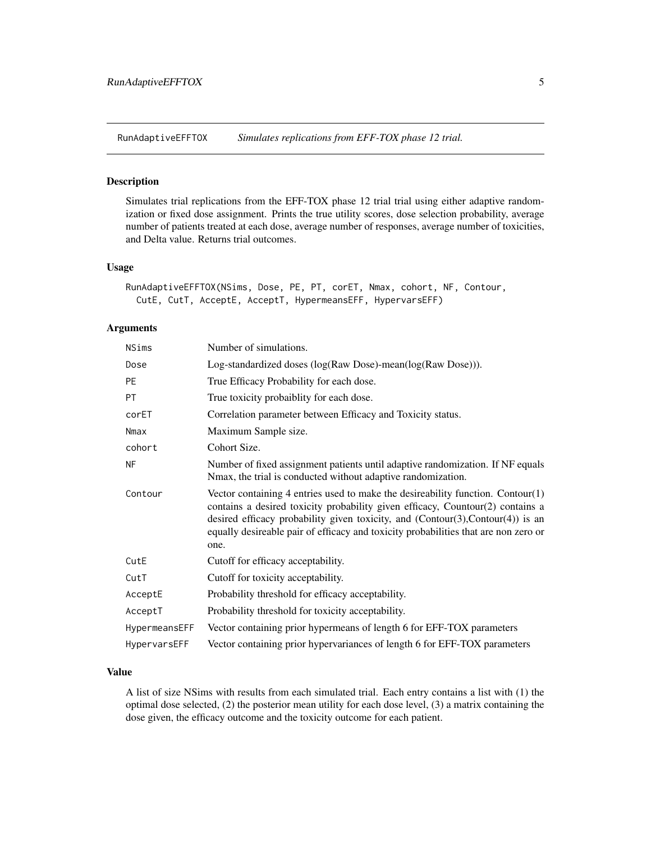<span id="page-4-0"></span>RunAdaptiveEFFTOX *Simulates replications from EFF-TOX phase 12 trial.*

#### Description

Simulates trial replications from the EFF-TOX phase 12 trial trial using either adaptive randomization or fixed dose assignment. Prints the true utility scores, dose selection probability, average number of patients treated at each dose, average number of responses, average number of toxicities, and Delta value. Returns trial outcomes.

#### Usage

```
RunAdaptiveEFFTOX(NSims, Dose, PE, PT, corET, Nmax, cohort, NF, Contour,
 CutE, CutT, AcceptE, AcceptT, HypermeansEFF, HypervarsEFF)
```
#### Arguments

| NSims         | Number of simulations.                                                                                                                                                                                                                                                                                                                              |
|---------------|-----------------------------------------------------------------------------------------------------------------------------------------------------------------------------------------------------------------------------------------------------------------------------------------------------------------------------------------------------|
| Dose          | Log-standardized doses (log(Raw Dose)-mean(log(Raw Dose))).                                                                                                                                                                                                                                                                                         |
| <b>PE</b>     | True Efficacy Probability for each dose.                                                                                                                                                                                                                                                                                                            |
| PT            | True toxicity probaiblity for each dose.                                                                                                                                                                                                                                                                                                            |
| corET         | Correlation parameter between Efficacy and Toxicity status.                                                                                                                                                                                                                                                                                         |
| Nmax          | Maximum Sample size.                                                                                                                                                                                                                                                                                                                                |
| cohort        | Cohort Size.                                                                                                                                                                                                                                                                                                                                        |
| <b>NF</b>     | Number of fixed assignment patients until adaptive randomization. If NF equals<br>Nmax, the trial is conducted without adaptive randomization.                                                                                                                                                                                                      |
| Contour       | Vector containing 4 entries used to make the desireability function. Contour(1)<br>contains a desired toxicity probability given efficacy, Countour(2) contains a<br>desired efficacy probability given toxicity, and (Contour(3), Contour(4)) is an<br>equally desireable pair of efficacy and toxicity probabilities that are non zero or<br>one. |
| CutE          | Cutoff for efficacy acceptability.                                                                                                                                                                                                                                                                                                                  |
| CutT          | Cutoff for toxicity acceptability.                                                                                                                                                                                                                                                                                                                  |
| AcceptE       | Probability threshold for efficacy acceptability.                                                                                                                                                                                                                                                                                                   |
| AcceptT       | Probability threshold for toxicity acceptability.                                                                                                                                                                                                                                                                                                   |
| HypermeansEFF | Vector containing prior hypermeans of length 6 for EFF-TOX parameters                                                                                                                                                                                                                                                                               |
| HypervarsEFF  | Vector containing prior hypervariances of length 6 for EFF-TOX parameters                                                                                                                                                                                                                                                                           |

#### Value

A list of size NSims with results from each simulated trial. Each entry contains a list with (1) the optimal dose selected, (2) the posterior mean utility for each dose level, (3) a matrix containing the dose given, the efficacy outcome and the toxicity outcome for each patient.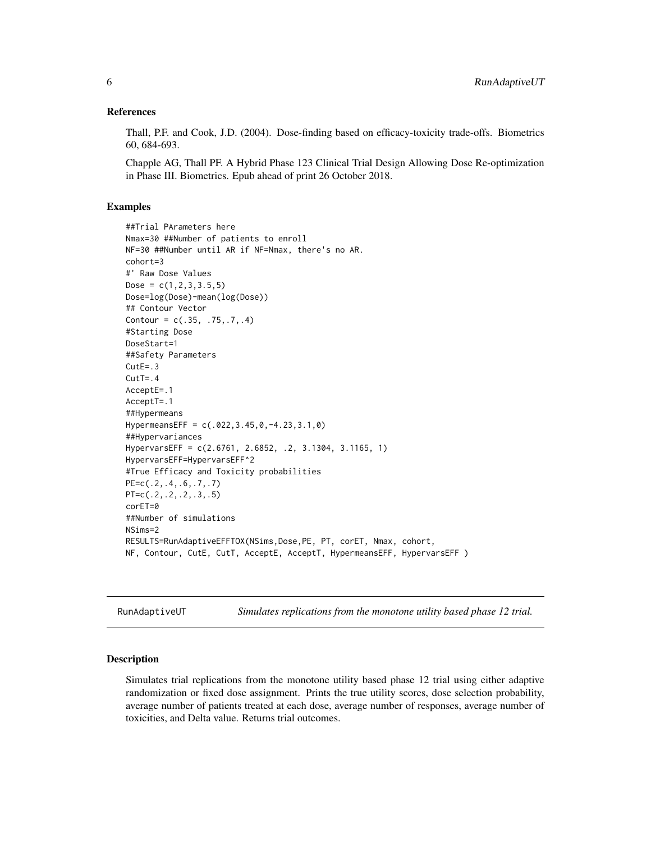#### <span id="page-5-0"></span>References

Thall, P.F. and Cook, J.D. (2004). Dose-finding based on efficacy-toxicity trade-offs. Biometrics 60, 684-693.

Chapple AG, Thall PF. A Hybrid Phase 123 Clinical Trial Design Allowing Dose Re-optimization in Phase III. Biometrics. Epub ahead of print 26 October 2018.

#### Examples

```
##Trial PArameters here
Nmax=30 ##Number of patients to enroll
NF=30 ##Number until AR if NF=Nmax, there's no AR.
cohort=3
#' Raw Dose Values
Dose = c(1, 2, 3, 3.5, 5)Dose=log(Dose)-mean(log(Dose))
## Contour Vector
Contour = c(.35, .75, .7, .4)#Starting Dose
DoseStart=1
##Safety Parameters
CutE = .3CutT = .4AcceptE=.1
AcceptT=.1
##Hypermeans
HypermeansEFF = c(.022,3.45,0,-4.23,3.1,0)
##Hypervariances
HypervarsEFF = c(2.6761, 2.6852, .2, 3.1304, 3.1165, 1)
HypervarsEFF=HypervarsEFF^2
#True Efficacy and Toxicity probabilities
PE=c(.2,.4,.6,.7,.7)
PT=c(.2,.2,.2,.3,.5)
corET=0
##Number of simulations
NSims=2
RESULTS=RunAdaptiveEFFTOX(NSims,Dose,PE, PT, corET, Nmax, cohort,
NF, Contour, CutE, CutT, AcceptE, AcceptT, HypermeansEFF, HypervarsEFF )
```
RunAdaptiveUT *Simulates replications from the monotone utility based phase 12 trial.*

#### Description

Simulates trial replications from the monotone utility based phase 12 trial using either adaptive randomization or fixed dose assignment. Prints the true utility scores, dose selection probability, average number of patients treated at each dose, average number of responses, average number of toxicities, and Delta value. Returns trial outcomes.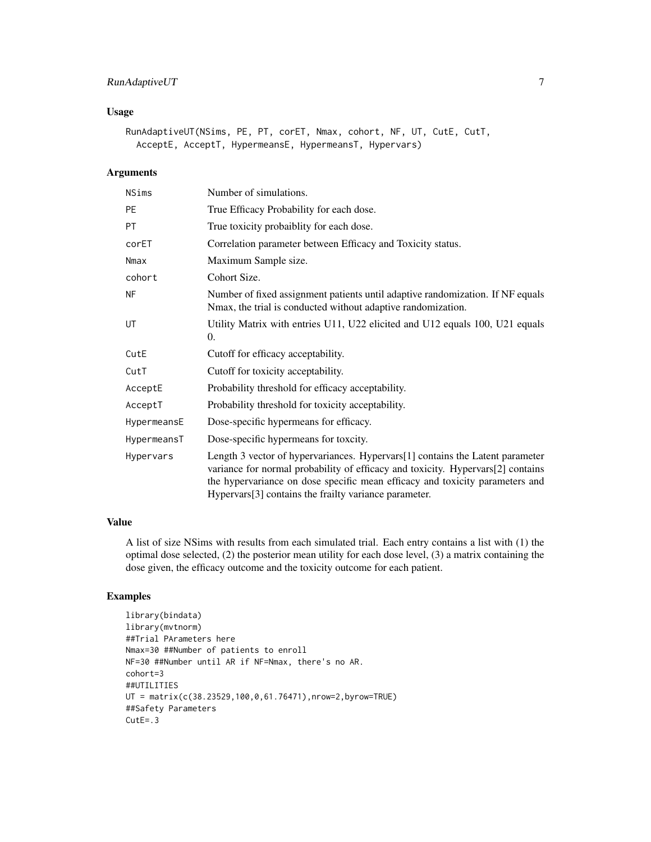#### RunAdaptiveUT 7

#### Usage

```
RunAdaptiveUT(NSims, PE, PT, corET, Nmax, cohort, NF, UT, CutE, CutT,
 AcceptE, AcceptT, HypermeansE, HypermeansT, Hypervars)
```
#### Arguments

| <b>NSims</b> | Number of simulations.                                                                                                                                                                                                                                                                                    |
|--------------|-----------------------------------------------------------------------------------------------------------------------------------------------------------------------------------------------------------------------------------------------------------------------------------------------------------|
| <b>PE</b>    | True Efficacy Probability for each dose.                                                                                                                                                                                                                                                                  |
| <b>PT</b>    | True toxicity probaiblity for each dose.                                                                                                                                                                                                                                                                  |
| corET        | Correlation parameter between Efficacy and Toxicity status.                                                                                                                                                                                                                                               |
| Nmax         | Maximum Sample size.                                                                                                                                                                                                                                                                                      |
| cohort       | Cohort Size.                                                                                                                                                                                                                                                                                              |
| <b>NF</b>    | Number of fixed assignment patients until adaptive randomization. If NF equals<br>Nmax, the trial is conducted without adaptive randomization.                                                                                                                                                            |
| UT           | Utility Matrix with entries U11, U22 elicited and U12 equals 100, U21 equals<br>0.                                                                                                                                                                                                                        |
| CutE         | Cutoff for efficacy acceptability.                                                                                                                                                                                                                                                                        |
| CutT         | Cutoff for toxicity acceptability.                                                                                                                                                                                                                                                                        |
| AcceptE      | Probability threshold for efficacy acceptability.                                                                                                                                                                                                                                                         |
| AcceptT      | Probability threshold for toxicity acceptability.                                                                                                                                                                                                                                                         |
| HypermeansE  | Dose-specific hypermeans for efficacy.                                                                                                                                                                                                                                                                    |
| HypermeansT  | Dose-specific hypermeans for toxcity.                                                                                                                                                                                                                                                                     |
| Hypervars    | Length 3 vector of hypervariances. Hypervars[1] contains the Latent parameter<br>variance for normal probability of efficacy and toxicity. Hypervars[2] contains<br>the hypervariance on dose specific mean efficacy and toxicity parameters and<br>Hypervars[3] contains the frailty variance parameter. |

#### Value

A list of size NSims with results from each simulated trial. Each entry contains a list with (1) the optimal dose selected, (2) the posterior mean utility for each dose level, (3) a matrix containing the dose given, the efficacy outcome and the toxicity outcome for each patient.

```
library(bindata)
library(mvtnorm)
##Trial PArameters here
Nmax=30 ##Number of patients to enroll
NF=30 ##Number until AR if NF=Nmax, there's no AR.
cohort=3
##UTILITIES
UT = matrix(c(38.23529,100,0,61.76471),nrow=2,byrow=TRUE)
##Safety Parameters
CutE = .3
```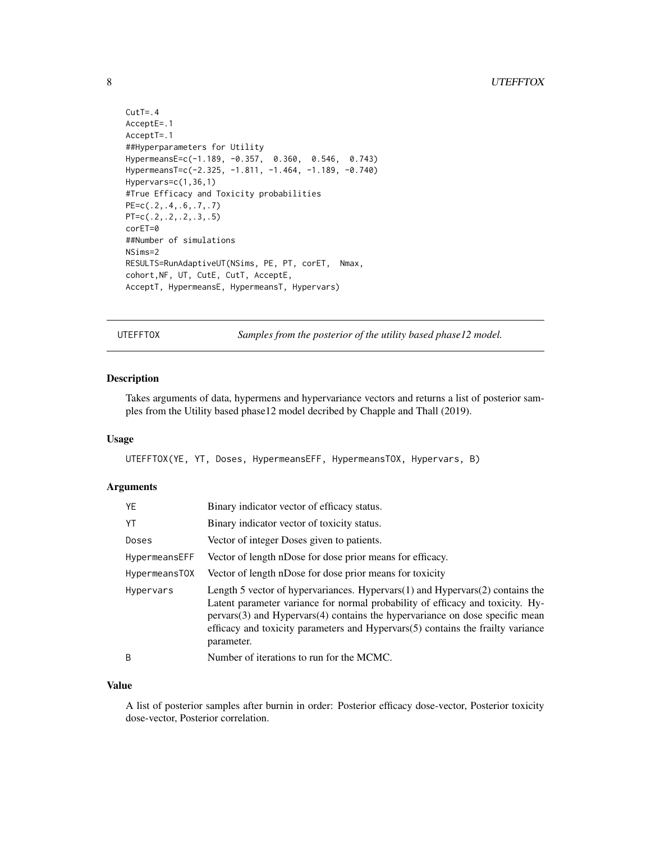```
CutT = .4AcceptE=.1
AcceptT=.1
##Hyperparameters for Utility
HypermeansE=c(-1.189, -0.357, 0.360, 0.546, 0.743)
HypermeansT=c(-2.325, -1.811, -1.464, -1.189, -0.740)
Hypervars=c(1,36,1)
#True Efficacy and Toxicity probabilities
PE=c(.2,.4,.6,.7,.7)
PT=c(.2,.2,.2,.3,.5)
corET=0
##Number of simulations
NSims=2
RESULTS=RunAdaptiveUT(NSims, PE, PT, corET, Nmax,
cohort,NF, UT, CutE, CutT, AcceptE,
AcceptT, HypermeansE, HypermeansT, Hypervars)
```
UTEFFTOX *Samples from the posterior of the utility based phase12 model.*

#### Description

Takes arguments of data, hypermens and hypervariance vectors and returns a list of posterior samples from the Utility based phase12 model decribed by Chapple and Thall (2019).

#### Usage

UTEFFTOX(YE, YT, Doses, HypermeansEFF, HypermeansTOX, Hypervars, B)

#### Arguments

| YE            | Binary indicator vector of efficacy status.                                                                                                                                                                                                                                                                                                            |
|---------------|--------------------------------------------------------------------------------------------------------------------------------------------------------------------------------------------------------------------------------------------------------------------------------------------------------------------------------------------------------|
| YT            | Binary indicator vector of toxicity status.                                                                                                                                                                                                                                                                                                            |
| Doses         | Vector of integer Doses given to patients.                                                                                                                                                                                                                                                                                                             |
| HypermeansEFF | Vector of length nDose for dose prior means for efficacy.                                                                                                                                                                                                                                                                                              |
| HypermeansTOX | Vector of length nDose for dose prior means for toxicity                                                                                                                                                                                                                                                                                               |
| Hypervars     | Length 5 vector of hypervariances. Hypervars $(1)$ and Hypervars $(2)$ contains the<br>Latent parameter variance for normal probability of efficacy and toxicity. Hy-<br>pervars(3) and Hypervars(4) contains the hypervariance on dose specific mean<br>efficacy and toxicity parameters and Hypervars(5) contains the frailty variance<br>parameter. |
| B             | Number of iterations to run for the MCMC.                                                                                                                                                                                                                                                                                                              |

#### Value

A list of posterior samples after burnin in order: Posterior efficacy dose-vector, Posterior toxicity dose-vector, Posterior correlation.

<span id="page-7-0"></span>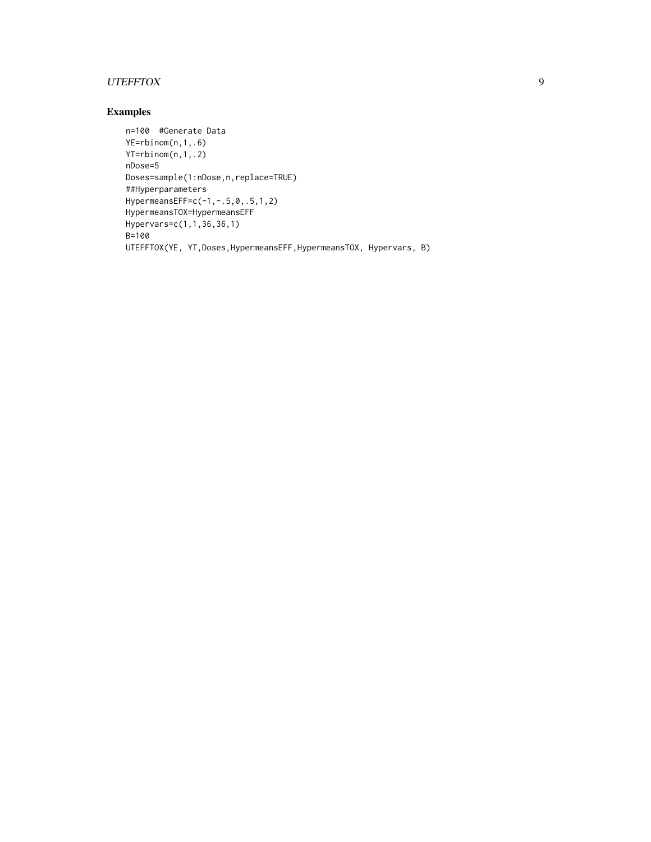## UTEFFTOX 9

```
n=100 #Generate Data
YE=rbinom(n,1,.6)
YT=rbinom(n,1,.2)
nDose=5
Doses=sample(1:nDose,n,replace=TRUE)
##Hyperparameters
HypermeansEFF=c(-1,-.5,0,.5,1,2)
HypermeansTOX=HypermeansEFF
Hypervars=c(1,1,36,36,1)
B=100
UTEFFTOX(YE, YT,Doses,HypermeansEFF,HypermeansTOX, Hypervars, B)
```